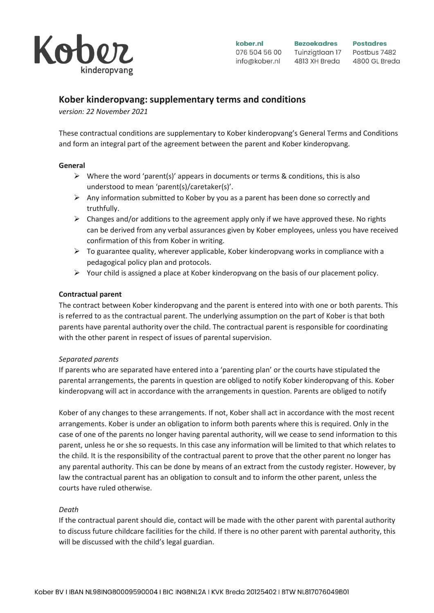

# **Kober kinderopvang: supplementary terms and conditions**

*version: 22 November 2021*

These contractual conditions are supplementary to Kober kinderopvang's General Terms and Conditions and form an integral part of the agreement between the parent and Kober kinderopvang.

## **General**

- $\triangleright$  Where the word 'parent(s)' appears in documents or terms & conditions, this is also understood to mean 'parent(s)/caretaker(s)'.
- $\triangleright$  Any information submitted to Kober by you as a parent has been done so correctly and truthfully.
- $\triangleright$  Changes and/or additions to the agreement apply only if we have approved these. No rights can be derived from any verbal assurances given by Kober employees, unless you have received confirmation of this from Kober in writing.
- ➢ To guarantee quality, wherever applicable, Kober kinderopvang works in compliance with a pedagogical policy plan and protocols.
- $\triangleright$  Your child is assigned a place at Kober kinderopvang on the basis of our placement policy.

## **Contractual parent**

The contract between Kober kinderopvang and the parent is entered into with one or both parents. This is referred to as the contractual parent. The underlying assumption on the part of Kober is that both parents have parental authority over the child. The contractual parent is responsible for coordinating with the other parent in respect of issues of parental supervision.

## *Separated parents*

If parents who are separated have entered into a 'parenting plan' or the courts have stipulated the parental arrangements, the parents in question are obliged to notify Kober kinderopvang of this. Kober kinderopvang will act in accordance with the arrangements in question. Parents are obliged to notify

Kober of any changes to these arrangements. If not, Kober shall act in accordance with the most recent arrangements. Kober is under an obligation to inform both parents where this is required. Only in the case of one of the parents no longer having parental authority, will we cease to send information to this parent, unless he or she so requests. In this case any information will be limited to that which relates to the child. It is the responsibility of the contractual parent to prove that the other parent no longer has any parental authority. This can be done by means of an extract from the custody register. However, by law the contractual parent has an obligation to consult and to inform the other parent, unless the courts have ruled otherwise.

## *Death*

If the contractual parent should die, contact will be made with the other parent with parental authority to discuss future childcare facilities for the child. If there is no other parent with parental authority, this will be discussed with the child's legal guardian.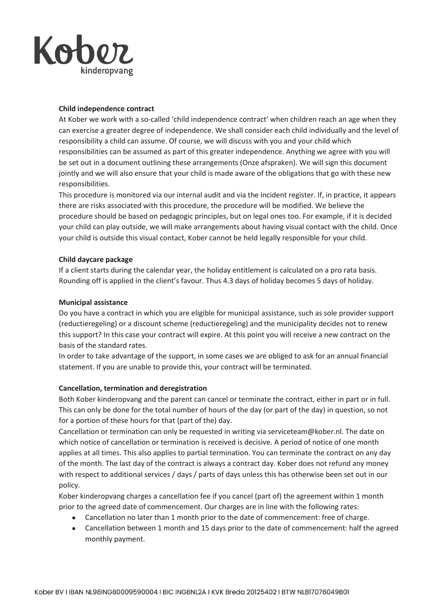

## **Child independence contract**

At Kober we work with a so-called 'child independence contract' when children reach an age when they can exercise a greater degree of independence. We shall consider each child individually and the level of responsibility a child can assume. Of course, we will discuss with you and your child which responsibilities can be assumed as part of this greater independence. Anything we agree with you will be set out in a document outlining these arrangements (Onze afspraken). We will sign this document jointly and we will also ensure that your child is made aware of the obligations that go with these new responsibilities.

This procedure is monitored via our internal audit and via the incident register. If, in practice, it appears there are risks associated with this procedure, the procedure will be modified. We believe the procedure should be based on pedagogic principles, but on legal ones too. For example, if it is decided your child can play outside, we will make arrangements about having visual contact with the child. Once your child is outside this visual contact, Kober cannot be held legally responsible for your child.

## **Child daycare package**

If a client starts during the calendar year, the holiday entitlement is calculated on a pro rata basis. Rounding off is applied in the client's favour. Thus 4.3 days of holiday becomes 5 days of holiday.

#### **Municipal assistance**

Do you have a contract in which you are eligible for municipal assistance, such as sole provider support (reductieregeling) or a discount scheme (reductieregeling) and the municipality decides not to renew this support? In this case your contract will expire. At this point you will receive a new contract on the basis of the standard rates.

In order to take advantage of the support, in some cases we are obliged to ask for an annual financial statement. If you are unable to provide this, your contract will be terminated.

## **Cancellation, termination and deregistration**

Both Kober kinderopvang and the parent can cancel or terminate the contract, either in part or in full. This can only be done for the total number of hours of the day (or part of the day) in question, so not for a portion of these hours for that (part of the) day.

Cancellation or termination can only be requested in writing via serviceteam@kober.nl. The date on which notice of cancellation or termination is received is decisive. A period of notice of one month applies at all times. This also applies to partial termination. You can terminate the contract on any day of the month. The last day of the contract is always a contract day. Kober does not refund any money with respect to additional services / days / parts of days unless this has otherwise been set out in our policy.

Kober kinderopvang charges a cancellation fee if you cancel (part of) the agreement within 1 month prior to the agreed date of commencement. Our charges are in line with the following rates:

- Cancellation no later than 1 month prior to the date of commencement: free of charge.
- Cancellation between 1 month and 15 days prior to the date of commencement: half the agreed monthly payment.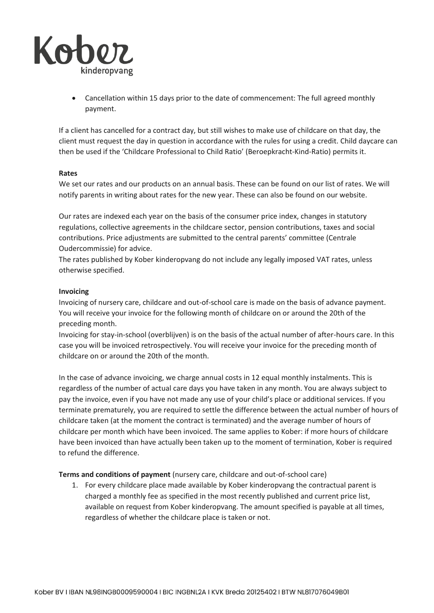

• Cancellation within 15 days prior to the date of commencement: The full agreed monthly payment.

If a client has cancelled for a contract day, but still wishes to make use of childcare on that day, the client must request the day in question in accordance with the rules for using a credit. Child daycare can then be used if the 'Childcare Professional to Child Ratio' (Beroepkracht-Kind-Ratio) permits it.

## **Rates**

We set our rates and our products on an annual basis. These can be found on our list of rates. We will notify parents in writing about rates for the new year. These can also be found on our website.

Our rates are indexed each year on the basis of the consumer price index, changes in statutory regulations, collective agreements in the childcare sector, pension contributions, taxes and social contributions. Price adjustments are submitted to the central parents' committee (Centrale Oudercommissie) for advice.

The rates published by Kober kinderopvang do not include any legally imposed VAT rates, unless otherwise specified.

#### **Invoicing**

Invoicing of nursery care, childcare and out-of-school care is made on the basis of advance payment. You will receive your invoice for the following month of childcare on or around the 20th of the preceding month.

Invoicing for stay-in-school (overblijven) is on the basis of the actual number of after-hours care. In this case you will be invoiced retrospectively. You will receive your invoice for the preceding month of childcare on or around the 20th of the month.

In the case of advance invoicing, we charge annual costs in 12 equal monthly instalments. This is regardless of the number of actual care days you have taken in any month. You are always subject to pay the invoice, even if you have not made any use of your child's place or additional services. If you terminate prematurely, you are required to settle the difference between the actual number of hours of childcare taken (at the moment the contract is terminated) and the average number of hours of childcare per month which have been invoiced. The same applies to Kober: if more hours of childcare have been invoiced than have actually been taken up to the moment of termination, Kober is required to refund the difference.

**Terms and conditions of payment** (nursery care, childcare and out-of-school care)

1. For every childcare place made available by Kober kinderopvang the contractual parent is charged a monthly fee as specified in the most recently published and current price list, available on request from Kober kinderopvang. The amount specified is payable at all times, regardless of whether the childcare place is taken or not.